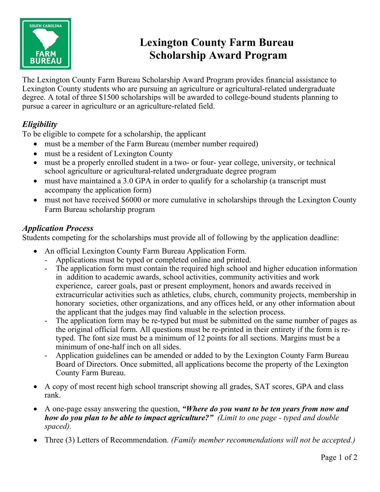

# **Lexington County Farm Bureau Scholarship Award Program**

The Lexington County Farm Bureau Scholarship Award Program provides financial assistance to Lexington County students who are pursuing an agriculture or agricultural-related undergraduate degree. A total of three \$1500 scholarships will be awarded to college-bound students planning to pursue a career in agriculture or an agriculture-related field.

## *Eligibility*

To be eligible to compete for a scholarship, the applicant

- must be a member of the Farm Bureau (member number required)
- must be a resident of Lexington County
- must be a properly enrolled student in a two- or four-vear college, university, or technical school agriculture or agricultural-related undergraduate degree program
- must have maintained a 3.0 GPA in order to qualify for a scholarship (a transcript must accompany the application form)
- must not have received \$6000 or more cumulative in scholarships through the Lexington County Farm Bureau scholarship program

### *Application Process*

Students competing for the scholarships must provide all of following by the application deadline:

- An official Lexington County Farm Bureau Application Form.
	- Applications must be typed or completed online and printed.
	- The application form must contain the required high school and higher education information in addition to academic awards, school activities, community activities and work experience, career goals, past or present employment, honors and awards received in extracurricular activities such as athletics, clubs, church, community projects, membership in honorary societies, other organizations, and any offices held, or any other information about the applicant that the judges may find valuable in the selection process.
	- The application form may be re-typed but must be submitted on the same number of pages as the original official form. All questions must be re-printed in their entirety if the form is retyped. The font size must be a minimum of 12 points for all sections. Margins must be a minimum of one-half inch on all sides.
	- Application guidelines can be amended or added to by the Lexington County Farm Bureau Board of Directors. Once submitted, all applications become the property of the Lexington County Farm Bureau.
- A copy of most recent high school transcript showing all grades, SAT scores, GPA and class rank.
- A one-page essay answering the question, *"Where do you want to be ten years from now and how do you plan to be able to impact agriculture?" (Limit to one page - typed and double spaced).*
- Three (3) Letters of Recommendation. *(Family member recommendations will not be accepted.)*